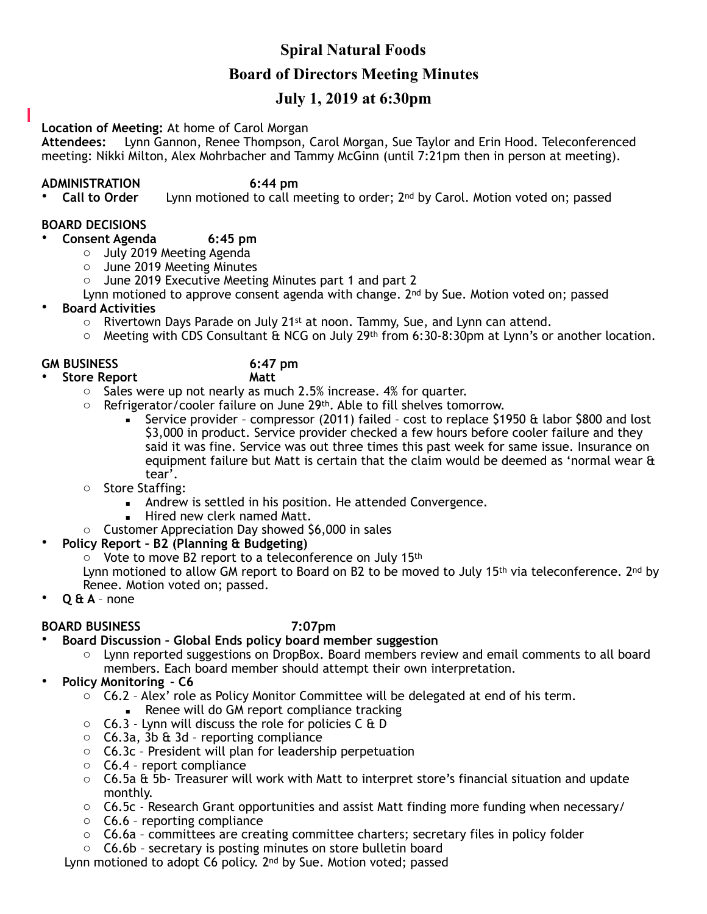# **Spiral Natural Foods**

## **Board of Directors Meeting Minutes**

# **July 1, 2019 at 6:30pm**

#### **Location of Meeting:** At home of Carol Morgan

**Attendees:** Lynn Gannon, Renee Thompson, Carol Morgan, Sue Taylor and Erin Hood. Teleconferenced meeting: Nikki Milton, Alex Mohrbacher and Tammy McGinn (until 7:21pm then in person at meeting).

**ADMINISTRATION** 6:44 pm<br>• **Call to Order** Lynn motioned to call m Lynn motioned to call meeting to order; 2<sup>nd</sup> by Carol. Motion voted on; passed

#### **BOARD DECISIONS**

### • **Consent Agenda 6:45 pm**

- o July 2019 Meeting Agenda
- o June 2019 Meeting Minutes
- o June 2019 Executive Meeting Minutes part 1 and part 2

Lynn motioned to approve consent agenda with change.  $2<sup>nd</sup>$  by Sue. Motion voted on; passed

- **Board Activities**
	- $\circ$  Rivertown Days Parade on July 21<sup>st</sup> at noon. Tammy, Sue, and Lynn can attend.
	- o Meeting with CDS Consultant & NCG on July 29th from 6:30-8:30pm at Lynn's or another location.

### **GM BUSINESS 6:47 pm**

- **Store Report Matt** 
	- o Sales were up not nearly as much 2.5% increase. 4% for quarter.
	- $\circ$  Refrigerator/cooler failure on June 29th. Able to fill shelves tomorrow.
		- **EXECT** Service provider compressor (2011) failed cost to replace \$1950  $\theta$  labor \$800 and lost \$3,000 in product. Service provider checked a few hours before cooler failure and they said it was fine. Service was out three times this past week for same issue. Insurance on equipment failure but Matt is certain that the claim would be deemed as 'normal wear & tear'.
	- o Store Staffing:
		- Andrew is settled in his position. He attended Convergence.
		- Hired new clerk named Matt.
	- o Customer Appreciation Day showed \$6,000 in sales

#### • **Policy Report – B2 (Planning & Budgeting)**

o Vote to move B2 report to a teleconference on July 15th

Lynn motioned to allow GM report to Board on B2 to be moved to July 15<sup>th</sup> via teleconference. 2<sup>nd</sup> by Renee. Motion voted on; passed.

• **Q & A** – none

### **BOARD BUSINESS 7:07pm**

- **Board Discussion Global Ends policy board member suggestion** 
	- Lynn reported suggestions on DropBox. Board members review and email comments to all board members. Each board member should attempt their own interpretation.
- **Policy Monitoring C6** 
	- $\circ$  C6.2 Alex' role as Policy Monitor Committee will be delegated at end of his term.
		- Renee will do GM report compliance tracking
	- o C6.3 Lynn will discuss the role for policies C & D
	- o C6.3a, 3b & 3d reporting compliance
	- o C6.3c President will plan for leadership perpetuation
	- o C6.4 report compliance
	- $\circ$  C6.5a & 5b- Treasurer will work with Matt to interpret store's financial situation and update monthly.
	- o C6.5c Research Grant opportunities and assist Matt finding more funding when necessary/
	- o C6.6 reporting compliance
	- $\circ$  C6.6a committees are creating committee charters: secretary files in policy folder
	- o C6.6b secretary is posting minutes on store bulletin board

Lynn motioned to adopt C6 policy. 2<sup>nd</sup> by Sue. Motion voted; passed